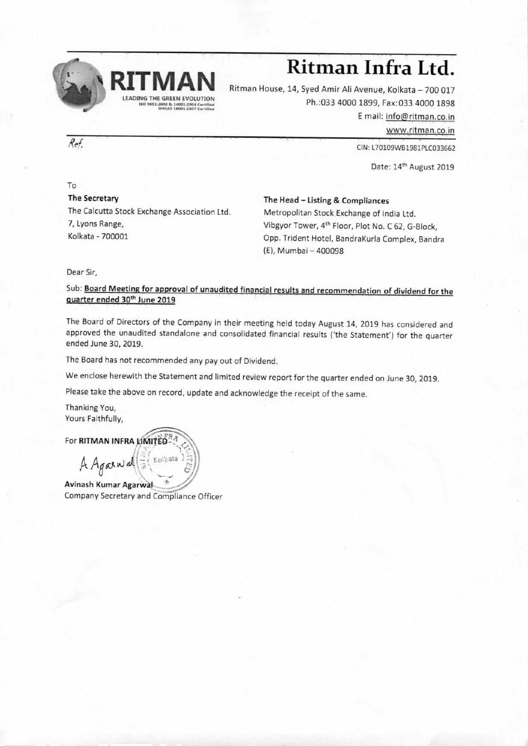

# **Ritman Infra Ltd.**

Ritman House, 14, Syed Amir Ali Avenue, Kolkata — 700 017 Ph.:033 4000 1899, Fax:033 4000 1898

E mail: info@ritman.co.in

www.ritman.co.in

*Ref.* CIN: L70109WB1981PLC033662

Date: 14th August 2019

To **The Secretary**  The Calcutta Stock Exchange Association Ltd. 7, Lyons Range, Kolkata - 700001

**The Head — Listing & Compliances** 

Metropolitan Stock Exchange of India Ltd. Vibgyor Tower, 4th Floor, Plot No. C 62, G-Block, Opp. Trident Hotel, BandraKurla Complex, Bandra (E), Mumbai — 400098

Dear Sir,

Sub: **Board Meeting for approval of unaudited financial results and recommendation of dividend for the quarter ended 30th June 2019** 

The Board of Directors of the Company in their meeting held today August 14, 2019 has considered and approved the unaudited standalone and consolidated financial results ('the Statement') for the quarter ended June 30, 2019.

The Board has not recommended any pay out of Dividend.

We enclose herewith the Statement and limited review report for the quarter ended on June 30, 2019.

Please take the above on record, update and acknowledge the receipt of the same.

Thanking You, Yours Faithfully,

**For RITMAN INFRA LIMITED**<sup>RA</sup>  $A$  Again of  $\left( \frac{1}{x} \left( \frac{K_O}{k} \right) \right)$ 

**Avinash Kumar Agarwal** Company Secretary and Compliance Officer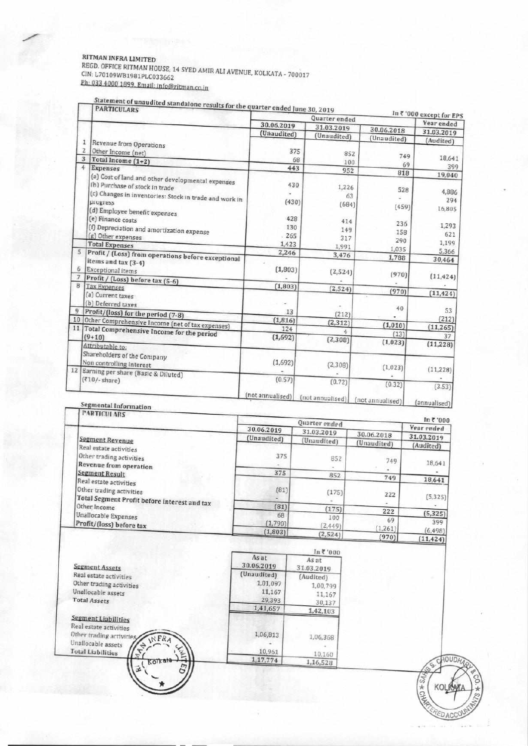#### **RITMAN INFRA LIMITED**

REGD. OFFICE RITMAN HOUSE, 14 SYED AMIR ALI AVENUE, KOLKATA - 700017 CIN: L70109V/B19131PLC033662 RITMAN INFRA LIMITED<br>REGD. OFFICE RITMAN HOUSE, 14 SYED AMII<br>CIN: L70109WB1981PLC033662<br>Ph: 033 4000 1899. Email: info@ritman.co.in

Statement of unaudited standalone results for the quarter ended June 30, 2019 In ₹ '000 except for EPS<br>
Year ended Quarter ended 30.06.2019 31.03.2019 30.06.2018 31.03.2019 (Unaudited) (Unaudited) (Unaudited) (Audited) 1 Revenue from Operations  $\frac{2}{3}$  Other Income (net)<br>3 Total Income (1+2)  $\overline{2}$ 375 852 749 18,641 68 100 69 399  $\overline{4}$ Expenses 443 952  $818$ (a) Cost of land and other developmental expenies 19,040 fh) Purchase of stock in trade 430 1,226 528 (c) Changes in inventories: Stock in trade and work in 4,886 63  $294$  $(430)$ pi **ogi** ess  $(684)$  $(459)$ 16,805 (d) Employee benefit expenses (e) Finance costs 428 414 236 (0 Depreciation and amortization expense 1,293 130 149 158 621 (g) Other expenses<br>Total Expenses 265 317 290 1,199 1,423 1,991 1,035 **Profit /** (Loss) from operations before exceptional 5 2,246 5,366 3.476 1,788 30,464 items and tax (3-4)  $(1,803)$ 6 Exceptional items  $(2, 524)$ 7 Profit / (Loss) before tax (5-6)  $(970)$  $(11, 424)$  $(1,803)$  $(2, 524)$  $(970)$  $(11, 424)$ (a) Current taxes (b) Deferred taxes<br>9 Profit/(loss) for the period (7-8) i. 40 13 53  $(212)$ 10 Other Comprehensive Income (net of tax expenses)  $(212)$  $(1, 816)$  $(2, 312)$  $(1,010)$  $(11, 265)$ Total Comprehensive Income for the period 124 4  $(13)$  $(1, 692)$  $(9+10)$ 37  $(2, 308)$  $(1,023)$  $(11, 228)$ **Attributable** to: **Shareholders of** the **Company Non controlling Interest**  $(1,692)$  $(2,308)$  $(1,023)$ Earning per share (Basic & Diluted)  $(11, 228)$  $(710/- share)$  $(0.57)$  $(0.72)$  $(0.32)$  $(3.53)$  $($ not annualised $)$ [not annualised] [not annualised] (annualised)

|  | segmental Information |  |
|--|-----------------------|--|
|--|-----------------------|--|

|                                                                          |                           | Quarter ended               |                           | $1n$ $7000$                           |
|--------------------------------------------------------------------------|---------------------------|-----------------------------|---------------------------|---------------------------------------|
| Segment Revenue<br>Real estate activities                                | 30.06.2019<br>(Unaudited) | 31.03.2019<br>(Unaudited)   | 30.06.2018<br>(Unaudited) | Vear ended<br>31.03.2019<br>(Audited) |
| Other trading activities<br>Revenue from operation                       | 375                       | <b>B52</b>                  | 749                       | 18,641                                |
| Segment Result<br>Real estate activities                                 | 375                       | 852                         | 749                       | 18,641                                |
| Other trading activities<br>Total Segment Profit before interest and tax | (81)                      | (175)                       | 222                       | (5, 325)                              |
| Other Income                                                             | (81)                      | (175)                       | 222                       | (5, 325)                              |
| Unallocable Expenses<br>Profit/(loss) before tax                         | 68<br>(1,790)<br>(1, 803) | 100<br>(2, 449)<br>(2, 524) | 69<br>(1, 261)            | 399<br>(6, 498)                       |
|                                                                          |                           |                             | (970)                     | (11, 424)                             |

|                                                                                                                          |                    | 10.6, 0.00          |
|--------------------------------------------------------------------------------------------------------------------------|--------------------|---------------------|
| Segment Assets                                                                                                           | Asat<br>30.06.2019 | As at<br>31.03.2019 |
| Real estate activities                                                                                                   | (Unaudited)        | (Audited)           |
| Other trading activities                                                                                                 | 1,01,097           | 1,00,799            |
| Unallocable assets                                                                                                       | 11,167             | 11,167              |
| <b>Total Assets</b>                                                                                                      | 29,393             | 30,137              |
|                                                                                                                          | 1,41,657           | 1,42,103            |
| Segment Liabilities                                                                                                      |                    |                     |
| Real estate activities<br>Other trading activities<br><b>NFRA</b><br>Unallocable assets<br>ᡇ<br><b>Total Liabilities</b> | 1,06,813<br>10,961 | 1,06,368            |
| ۰<br>Kolkata                                                                                                             | 1,17,774           | 10,160              |
| m<br>孟                                                                                                                   |                    | 1,16,528            |

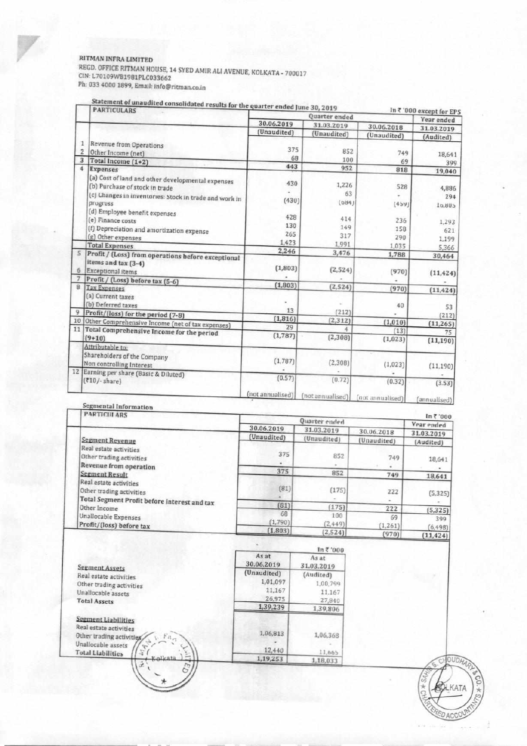### RITMAN INFRA LIMITED

REGD. OFFICE RITMAN HOUSE, 14 SYED AMIR ALl AVENUE, ROLKATA - 700017 CIN: L70109W81981PLC033662 Ph: 033 4000 1899, Email: info@ritman.co.in

|                | <b>PARTICULARS</b>                                     | the consolidated results for the quarter ended June 30, 2019<br>Quarter ended |                  | In ₹ '000 except for EPS |             |
|----------------|--------------------------------------------------------|-------------------------------------------------------------------------------|------------------|--------------------------|-------------|
|                |                                                        | 30.06.2019                                                                    | 31.03.2019       |                          | Year ended  |
|                |                                                        | (Unaudited)                                                                   |                  | 30.06.2018               | 31.03.2019  |
|                |                                                        |                                                                               | (Unaudited)      | (Unaudited)              | (Audited)   |
| 1              | Revenue from Operations                                | 375                                                                           |                  |                          |             |
| $\overline{z}$ | Other Income (net)                                     | 68                                                                            | 852              | 749                      | 18,641      |
| 3              | Total Income (1+2)                                     | 443                                                                           | 100              | 69                       | 399         |
| 4              | <b>Expenses</b>                                        |                                                                               | 952              | 818                      | 19,040      |
|                | (a) Cost of land and other developmental expenses      | 430                                                                           |                  |                          |             |
|                | (b) Purchase of stock in trade                         |                                                                               | 1,226            | 528                      | 4,886       |
|                | (c) Changes in inventories: Stock in trade and work in |                                                                               | 63               |                          | 294         |
|                | progress                                               | (430)                                                                         | (084)            | (459)                    | 208,01      |
|                | (d) Employee benefit expenses                          | 428                                                                           |                  |                          |             |
|                | (e) Finance costs                                      |                                                                               | 414              | 236                      | 1,293       |
|                | (f) Depreciation and amortization expense              | 130                                                                           | 149              | 158                      | 621         |
|                | (g) Other expenses                                     | 265                                                                           | 317              | 290                      | 1,199       |
|                | <b>Total Expenses</b>                                  | 1.423                                                                         | 1,991            | 1.035                    | 5,366       |
| 5              | Profit / (Loss) from operations before exceptional     | 2,246                                                                         | 3,476            | 1,788                    | 30,464      |
|                | items and tax (3-4)                                    |                                                                               |                  |                          |             |
| 6              | <b>Exceptional items</b>                               | (1,803)                                                                       | (2, 524)         | (970)                    | (11, 424)   |
| 7              | Profit / (Loss) before tax (5-6)                       |                                                                               |                  |                          |             |
| 8              | <b>Tax Expenses</b>                                    | (1,803)                                                                       | (2, 524)         | (970)                    | (11, 424)   |
|                | (a) Current taxes                                      |                                                                               |                  |                          |             |
|                | (b) Deferred taxes                                     |                                                                               |                  | 40                       | 53          |
| 9              | Profit/(loss) for the period (7-8)                     | 13                                                                            | (212)            |                          | (212)       |
| 10             | Other Comprehensive Income (net of tax expenses)       | (1, 816)                                                                      | (2, 312)         | (1,010)                  | (11, 265)   |
| 11             | Total Comprehensive Income for the period              | 29                                                                            |                  | (13)                     | 75          |
|                | $(9+10)$                                               | (1,787)                                                                       | (2, 308)         | (1,023)                  | (11, 190)   |
|                | Attributable to:                                       |                                                                               |                  |                          |             |
|                | Shareholders of the Company                            |                                                                               |                  |                          |             |
|                | Non controlling Interest                               | (1,787)                                                                       | (2,30B)          | (1.023)                  | (11, 190)   |
| 12             | Earning per share (Basic & Diluted)                    |                                                                               |                  |                          |             |
|                | $(810)$ -share)                                        | (0.57)                                                                        | (0.72)           | (0.32)                   | (3.53)      |
|                |                                                        |                                                                               |                  |                          |             |
|                |                                                        | (not annualised)                                                              | (not annualised) | (not annualised)         | annualised) |

Statement of unaudited consolidated results for

| <b>PARTICULARS</b>                                                                                 |               |                 |                | ln 7'000          |
|----------------------------------------------------------------------------------------------------|---------------|-----------------|----------------|-------------------|
|                                                                                                    | 30.06.2019    | Quarter ended   |                | <b>Year ended</b> |
|                                                                                                    |               | 31.03.2019      | 30.06.2018     | 31.03.2019        |
| Segment Revenue                                                                                    | (Unaudited)   | (Unaudited)     | (Unaudited)    | (Audited)         |
| Real estate activities<br>Other trading activities                                                 | 375           | 852<br>×.       | 749            | 18,641            |
| Revenue from operation<br>Segment Result                                                           | 375           | 852             | 749            | $\sim$<br>18,641  |
| Real estate activities<br>Other trading activities<br>Total Segment Profit before interest and tax | (81)          | (175)           | 222            | (5, 325)          |
| Other Income                                                                                       | (81)          | (175)           | 222            | (5, 325)          |
| Unallocable Expenses<br>Profit/(loss) before tax                                                   | 68<br>(1,790) | 100<br>(2, 449) | 69<br>(1, 261) | 399<br>(6, 498)   |
|                                                                                                    | (1, 803)      | (2,524)         | (970)          | (11, 424)         |

|                                                           |                     | ln 7'000                   |
|-----------------------------------------------------------|---------------------|----------------------------|
| <b>Segment Assets</b>                                     | As at<br>30.06.2019 | <b>As at</b><br>31.03.2019 |
| Real estate activities                                    | (Unaudited)         | (Audited)                  |
| Other trading activities                                  | 1,01.097            | 1,00,799                   |
| Unallocable assets                                        | 11,167              | 11.167                     |
| <b>Total Assets</b>                                       | 26,975              | 27,840                     |
|                                                           | 1,39,239            | 1,39,806                   |
| Segment Liabilities                                       |                     |                            |
| Real estate activities                                    |                     |                            |
| Other trading activities,<br>$\langle Fu_{e\tau} \rangle$ | 1,06,813            | 1,06,368                   |
| Unallocable assets                                        |                     |                            |
| Σ<br><b>Total Liabilities</b>                             | 12,440              | 11,665                     |
| Kolkata<br>ä.<br>E                                        | 1,19,253            | 1,18,033                   |

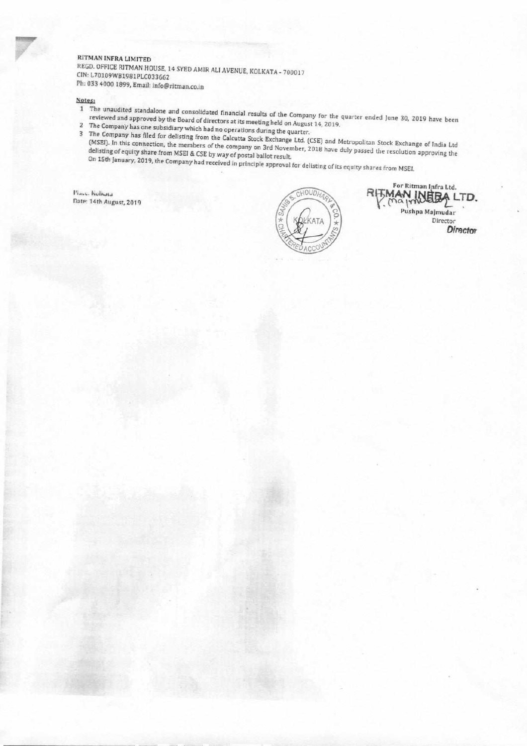#### **RITMAN INFRA LIMITED**

REGD. OFFICE RITMAN HOUSE, 14 SYED AMIR ALI AVENUE, KOLKATA - 700017 C1N: L70109W81981PLC033662 **Ph:** 033 4000 1899, Email: info@ritman.co.in

Notes:

- reviewed and approved by the Board of directors at its meeting held on August 14, 2010 equarter ended June 30, 2019 have been reviewed and approved by the Board of directors at its meeting held on August 14, 2019.<br>2 The Company has one subsidiary which had no operations during the quarter.
- 

3 The Company has filed for delisting from the Calcutta Stock Exchange Ltd. (CSE) and Metropolitan Stock Exchange of Letterate of India Ltd. (MSEI). In this connection, the members of the company on 3rd November, 2018 have duly passed the resolution approving the delisting of equity share from MSEI & CSE by way of postal ballot result. On 15th January, 2019, the Company had received in principle approval for delisting of its equity shares from MSEI.<br>On 15th January, 2019, the Company had received in principle approval for delisting of its equity shares f

Place, Kolkata Date: 14th August, 2019



For Ritman Infra Ltd. **RIFMAN INEEA LTD.** Pushpa Maimudar Director Director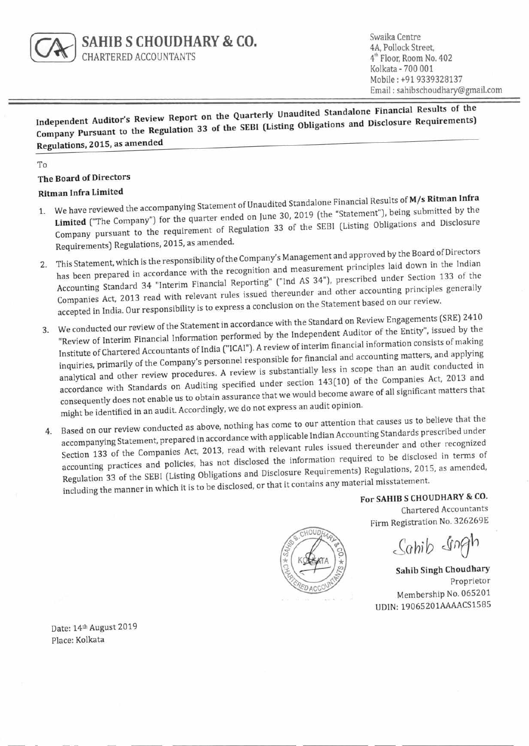

Swaika Centre **4A,** Pollock Street, 4<sup>th</sup> Floor, Room No. 402 Kolkata - 700 001 Mobile : +91 9339328137 Email : sahibschoudhary@gmail.com

**Independent Auditor's Review Report on the Quarterly Unaudited Standalone Financial Results of the Company Pursuant to the Regulation 33 of the SEBI (Listing Obligations and Disclosure Requirements) Regulations, 2015, as amended** 

To

#### **The Board of Directors**

#### **Ritman Infra Limited**

- 1. We have reviewed the accompanying Statement of Unaudited Standalone Financial Results of **M/s Ritman Infra**  We have reviewed the above the quarter ended on June 30, 2019 (the "Statement"), being submitted by the **Limited** ("The Company") for the quarter ended on June 32 of the SERI (Listing Obligations and Disclosure Company pursuant to the requirement of Regulation 33 of the SEBI (Listing Obligations and Disclosure Requirements) Regulations, 2015, as amended.
- 2. This Statement, which is the responsibility of the Company's Management and approved by the Board of Breetors has been prepared in accordance with the recognition and measurement principles laid down in the Indian Accounting Standard 34 "Interim Financial Reporting" ("Ind AS 34"), prescribed under Section 133 of the Companies Act, 2013 read with relevant rules issued thereunder and other accounting principles generally accepted in India. Our responsibility is to express a conclusion on the Statement based on our review.
- 3. We conducted our review of the Statement in accordance with the Standard on Review Engagements (SRE) 2410<br>statement Auditor of the Entity", issued by the statements of the Independent Auditor of the Entity", issued by "Review of Interim Financial Information performed by the Independent Auditor of the Entity", issued by the Institute of Chartered Accountants of India ("ICAI"). A review of interim financial information consists of making inquiries, primarily of the Company's personnel responsible for financial and accounting matters, and applying analytical and other review procedures. A review is substantially less in scope than an audit conducted in accordance with Standards on Auditing specified under section 143(10) of the Companies Act, 2013 and ht be iden might be identified in an audit. Accordingly, we do not express an audit opinion. If ridding  $\frac{1}{2}$  reducing  $\frac{1}{2}$  is would become aware of all significant matters that
- 4. Based on our review conducted as above, nothing has come to our attention that causes us to believe that the accompanying Statement, prepared in accordance with applicable Indian Accounting Standards prescribed under Section 133 of the Companies Act, 2013, read with relevant rules issued thereunder and other recognized accounting practices and policies, has not disclosed the information required to be disclosed in terms of Regulation 33 of the SEBI (Listing Obligations and Disclosure Requirements) Regulations, 2015, as amended, including the manner in which it is to be disclosed, or that it contains any material misstatement.

**For SAHIB S CHOUDHARY & CO.**  Chartered Accountants Firm Registration No. 326269E

Sahib Ingh

**Sahib Singh Choudhary**  Proprietor Membership No. 065201 UDIN: 19065201AAAACS1585

Date: 14th August 2019 Place: Kolkata

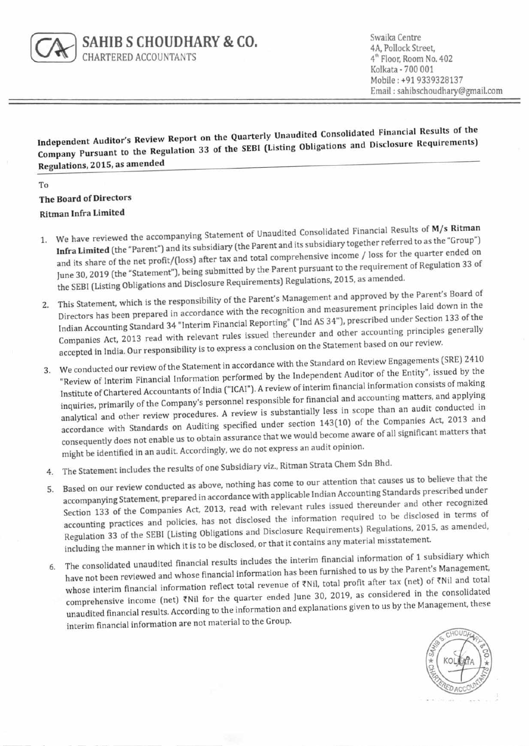

**SAHIB S CHOUDHARY & CO.**  CHARTERED ACCOUNTANTS

Swaika Centre 4A, Pollock Street, 4<sup>th</sup> Floor, Room No. 402 Kolkata - 700 001 Mobile : +91 9339328137 Email : sahibschoudhary@gmail.com

**Independent Auditor's Review Report on the Quarterly Unaudited Consolidated Financial Results of the Company Pursuant to the Regulation 33 of the SEBI (Listing Obligations and Disclosure Requirements) Regulations, 2015, as amended** 

To

## **The Board of Directors Ritman Infra Limited**

- **1. We have reviewed** the accompanying Statement of Unaudited Consolidated Financial Results of **M/s Ritman Infra Limited** (the "Parent") and its subsidiary (the Parent and its subsidiary together referred to as the "Group") and its share of the net profit/(loss) after tax and total comprehensive income / loss for the quarter ended on June 30, 2019 (the "Statement"), being submitted by the Parent pursuant to the requirement of Regulation 33 of the SEBI (Listing Obligations and Disclosure Requirements) Regulations, 2015, as amended.
- 2. This Statement, which is the responsibility of the Parent's Management and approved by the Parent's Board of Directors has been prepared in accordance with the recognition and measurement principles laid down in the Indian Accounting Standard 34 "Interim Financial Reporting" ("Ind AS 34"), prescribed under Section 133 of the Companies Act, 2013 read with relevant rules issued thereunder and other accounting principles generally accepted in India. Our responsibility is to express a conclusion on the Statement based on our review.
- 3. We conducted our review of the Statement in accordance with the Standard on Review Engagements (SRE) 2410 "Review of Interim Financial Information performed by the Independent Auditor of the Entity'", issued by the Institute of Chartered Accountants of India (''ICA1"). A review of interim financial information consists of making inquiries, primarily of the Company's personnel responsible for financial and accounting matters, and applying analytical and other review procedures. A review is substantially less in scope than an audit conducted in accordance with Standards on Auditing specified under section 143(10) of the Companies Act, 2013 and consequently does not enable us to obtain assurance that we would become aware of all significant matters that might be identified in an audit. Accordingly, we do not express an audit opinion.
- 4. The Statement includes the results of one Subsidiary viz., Ritman Strata Chem Sdn Bhd.
- 5. Based on our review conducted as above, nothing has come to our attention that causes us to believe that the accompanying Statement, prepared in accordance with applicable Indian Accounting Standards prescribed under Section 133 of the Companies Act, 2013, read with relevant rules issued thereunder and other recognized accounting practices and policies, has not disclosed the information required to be disclosed in terms of Regulation 33 of the SEBI (Listing Obligations and Disclosure Requirements) Regulations, 2015, as amended, including the manner in which it is to be disclosed, or that it contains any material misstatement.
- 6. The consolidated unaudited financial results includes the interim financial information of 1 subsidiary which have not been reviewed and whose financial information has been furnished to us by the Parent's Management, whose interim financial information reflect total revenue of ₹Nil, total profit after tax (net) of ₹Nil and total comprehensive income (net) ZNil for the quarter ended June 30, 2019, as considered in the consolidated unaudited financial results. According to the information and explanations given to us by the Management, these interim financial information are not material to the Group.